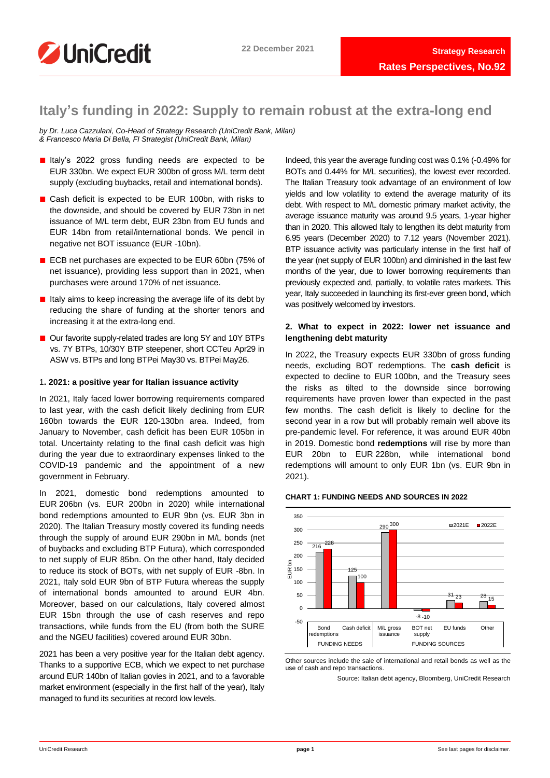

# **Italy's funding in 2022: Supply to remain robust at the extra-long end**

*by Dr. Luca Cazzulani, Co-Head of Strategy Research (UniCredit Bank, Milan) & Francesco Maria Di Bella, FI Strategist (UniCredit Bank, Milan)* 

- Italy's 2022 gross funding needs are expected to be EUR 330bn. We expect EUR 300bn of gross M/L term debt supply (excluding buybacks, retail and international bonds).
- Cash deficit is expected to be EUR 100bn, with risks to the downside, and should be covered by EUR 73bn in net issuance of M/L term debt, EUR 23bn from EU funds and EUR 14bn from retail/international bonds. We pencil in negative net BOT issuance (EUR -10bn).
- ECB net purchases are expected to be EUR 60bn (75% of net issuance), providing less support than in 2021, when purchases were around 170% of net issuance.
- Italy aims to keep increasing the average life of its debt by reducing the share of funding at the shorter tenors and increasing it at the extra-long end.
- Our favorite supply-related trades are long 5Y and 10Y BTPs vs. 7Y BTPs, 10/30Y BTP steepener, short CCTeu Apr29 in ASW vs. BTPs and long BTPei May30 vs. BTPei May26.

# 1**. 2021: a positive year for Italian issuance activity**

In 2021, Italy faced lower borrowing requirements compared to last year, with the cash deficit likely declining from EUR 160bn towards the EUR 120-130bn area. Indeed, from January to November, cash deficit has been EUR 105bn in total. Uncertainty relating to the final cash deficit was high during the year due to extraordinary expenses linked to the COVID-19 pandemic and the appointment of a new government in February.

In 2021, domestic bond redemptions amounted to EUR 206bn (vs. EUR 200bn in 2020) while international bond redemptions amounted to EUR 9bn (vs. EUR 3bn in 2020). The Italian Treasury mostly covered its funding needs through the supply of around EUR 290bn in M/L bonds (net of buybacks and excluding BTP Futura), which corresponded to net supply of EUR 85bn. On the other hand, Italy decided to reduce its stock of BOTs, with net supply of EUR -8bn. In 2021, Italy sold EUR 9bn of BTP Futura whereas the supply of international bonds amounted to around EUR 4bn. Moreover, based on our calculations, Italy covered almost EUR 15bn through the use of cash reserves and repo transactions, while funds from the EU (from both the SURE and the NGEU facilities) covered around EUR 30bn.

2021 has been a very positive year for the Italian debt agency. Thanks to a supportive ECB, which we expect to net purchase around EUR 140bn of Italian govies in 2021, and to a favorable market environment (especially in the first half of the year), Italy managed to fund its securities at record low levels.

Indeed, this year the average funding cost was 0.1% (-0.49% for BOTs and 0.44% for M/L securities), the lowest ever recorded. The Italian Treasury took advantage of an environment of low yields and low volatility to extend the average maturity of its debt. With respect to M/L domestic primary market activity, the average issuance maturity was around 9.5 years, 1-year higher than in 2020. This allowed Italy to lengthen its debt maturity from 6.95 years (December 2020) to 7.12 years (November 2021). BTP issuance activity was particularly intense in the first half of the year (net supply of EUR 100bn) and diminished in the last few months of the year, due to lower borrowing requirements than previously expected and, partially, to volatile rates markets. This year, Italy succeeded in launching its first-ever green bond, which was positively welcomed by investors.

# **2. What to expect in 2022: lower net issuance and lengthening debt maturity**

In 2022, the Treasury expects EUR 330bn of gross funding needs, excluding BOT redemptions. The **cash deficit** is expected to decline to EUR 100bn, and the Treasury sees the risks as tilted to the downside since borrowing requirements have proven lower than expected in the past few months. The cash deficit is likely to decline for the second year in a row but will probably remain well above its pre-pandemic level. For reference, it was around EUR 40bn in 2019. Domestic bond **redemptions** will rise by more than EUR 20bn to EUR 228bn, while international bond redemptions will amount to only EUR 1bn (vs. EUR 9bn in 2021).

# **CHART 1: FUNDING NEEDS AND SOURCES IN 2022**



Other sources include the sale of international and retail bonds as well as the use of cash and repo transactions.

Source: Italian debt agency, Bloomberg, UniCredit Research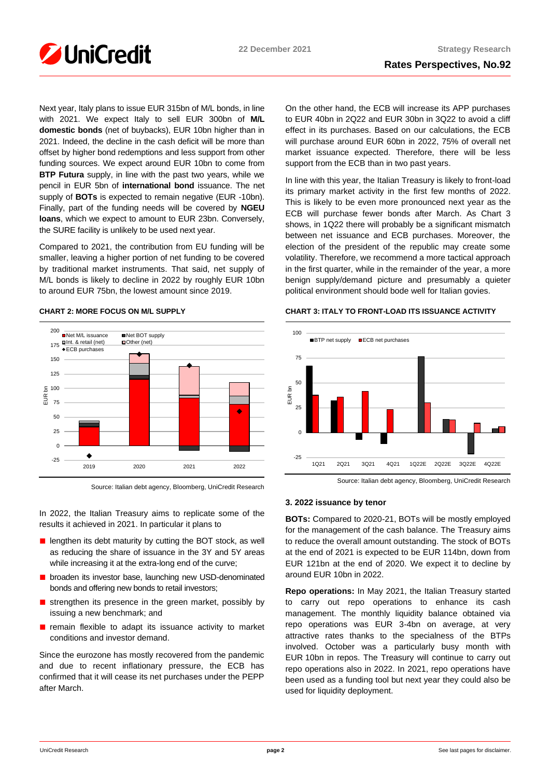

Next year, Italy plans to issue EUR 315bn of M/L bonds, in line with 2021. We expect Italy to sell EUR 300bn of **M/L domestic bonds** (net of buybacks), EUR 10bn higher than in 2021. Indeed, the decline in the cash deficit will be more than offset by higher bond redemptions and less support from other funding sources. We expect around EUR 10bn to come from **BTP Futura** supply, in line with the past two years, while we pencil in EUR 5bn of **international bond** issuance. The net supply of **BOTs** is expected to remain negative (EUR -10bn). Finally, part of the funding needs will be covered by **NGEU loans**, which we expect to amount to EUR 23bn. Conversely, the SURE facility is unlikely to be used next year.

Compared to 2021, the contribution from EU funding will be smaller, leaving a higher portion of net funding to be covered by traditional market instruments. That said, net supply of M/L bonds is likely to decline in 2022 by roughly EUR 10bn to around EUR 75bn, the lowest amount since 2019.



# **CHART 2: MORE FOCUS ON M/L SUPPLY**

Source: Italian debt agency, Bloomberg, UniCredit Research

In 2022, the Italian Treasury aims to replicate some of the results it achieved in 2021. In particular it plans to

- lengthen its debt maturity by cutting the BOT stock, as well as reducing the share of issuance in the 3Y and 5Y areas while increasing it at the extra-long end of the curve;
- broaden its investor base, launching new USD-denominated bonds and offering new bonds to retail investors;
- strengthen its presence in the green market, possibly by issuing a new benchmark; and
- remain flexible to adapt its issuance activity to market conditions and investor demand.

Since the eurozone has mostly recovered from the pandemic and due to recent inflationary pressure, the ECB has confirmed that it will cease its net purchases under the PEPP after March.

On the other hand, the ECB will increase its APP purchases to EUR 40bn in 2Q22 and EUR 30bn in 3Q22 to avoid a cliff effect in its purchases. Based on our calculations, the ECB will purchase around EUR 60bn in 2022, 75% of overall net market issuance expected. Therefore, there will be less support from the ECB than in two past years.

In line with this year, the Italian Treasury is likely to front-load its primary market activity in the first few months of 2022. This is likely to be even more pronounced next year as the ECB will purchase fewer bonds after March. As Chart 3 shows, in 1Q22 there will probably be a significant mismatch between net issuance and ECB purchases. Moreover, the election of the president of the republic may create some volatility. Therefore, we recommend a more tactical approach in the first quarter, while in the remainder of the year, a more benign supply/demand picture and presumably a quieter political environment should bode well for Italian govies.

# **CHART 3: ITALY TO FRONT-LOAD ITS ISSUANCE ACTIVITY**



Source: Italian debt agency, Bloomberg, UniCredit Research

### **3. 2022 issuance by tenor**

**BOTs:** Compared to 2020-21, BOTs will be mostly employed for the management of the cash balance. The Treasury aims to reduce the overall amount outstanding. The stock of BOTs at the end of 2021 is expected to be EUR 114bn, down from EUR 121bn at the end of 2020. We expect it to decline by around EUR 10bn in 2022.

**Repo operations:** In May 2021, the Italian Treasury started to carry out repo operations to enhance its cash management. The monthly liquidity balance obtained via repo operations was EUR 3-4bn on average, at very attractive rates thanks to the specialness of the BTPs involved. October was a particularly busy month with EUR 10bn in repos. The Treasury will continue to carry out repo operations also in 2022. In 2021, repo operations have been used as a funding tool but next year they could also be used for liquidity deployment.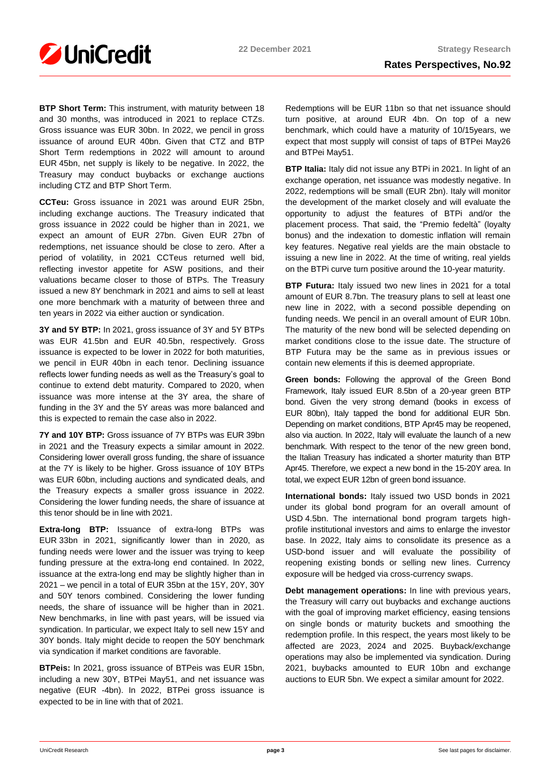

**BTP Short Term:** This instrument, with maturity between 18 and 30 months, was introduced in 2021 to replace CTZs. Gross issuance was EUR 30bn. In 2022, we pencil in gross issuance of around EUR 40bn. Given that CTZ and BTP Short Term redemptions in 2022 will amount to around EUR 45bn, net supply is likely to be negative. In 2022, the Treasury may conduct buybacks or exchange auctions including CTZ and BTP Short Term.

**CCTeu:** Gross issuance in 2021 was around EUR 25bn, including exchange auctions. The Treasury indicated that gross issuance in 2022 could be higher than in 2021, we expect an amount of EUR 27bn. Given EUR 27bn of redemptions, net issuance should be close to zero. After a period of volatility, in 2021 CCTeus returned well bid, reflecting investor appetite for ASW positions, and their valuations became closer to those of BTPs. The Treasury issued a new 8Y benchmark in 2021 and aims to sell at least one more benchmark with a maturity of between three and ten years in 2022 via either auction or syndication.

**3Y and 5Y BTP:** In 2021, gross issuance of 3Y and 5Y BTPs was EUR 41.5bn and EUR 40.5bn, respectively. Gross issuance is expected to be lower in 2022 for both maturities, we pencil in EUR 40bn in each tenor. Declining issuance reflects lower funding needs as well as the Treasury's goal to continue to extend debt maturity. Compared to 2020, when issuance was more intense at the 3Y area, the share of funding in the 3Y and the 5Y areas was more balanced and this is expected to remain the case also in 2022.

**7Y and 10Y BTP:** Gross issuance of 7Y BTPs was EUR 39bn in 2021 and the Treasury expects a similar amount in 2022. Considering lower overall gross funding, the share of issuance at the 7Y is likely to be higher. Gross issuance of 10Y BTPs was EUR 60bn, including auctions and syndicated deals, and the Treasury expects a smaller gross issuance in 2022. Considering the lower funding needs, the share of issuance at this tenor should be in line with 2021.

**Extra-long BTP:** Issuance of extra-long BTPs was EUR 33bn in 2021, significantly lower than in 2020, as funding needs were lower and the issuer was trying to keep funding pressure at the extra-long end contained. In 2022, issuance at the extra-long end may be slightly higher than in 2021 – we pencil in a total of EUR 35bn at the 15Y, 20Y, 30Y and 50Y tenors combined. Considering the lower funding needs, the share of issuance will be higher than in 2021. New benchmarks, in line with past years, will be issued via syndication. In particular, we expect Italy to sell new 15Y and 30Y bonds. Italy might decide to reopen the 50Y benchmark via syndication if market conditions are favorable.

**BTPeis:** In 2021, gross issuance of BTPeis was EUR 15bn, including a new 30Y, BTPei May51, and net issuance was negative (EUR -4bn). In 2022, BTPei gross issuance is expected to be in line with that of 2021.

Redemptions will be EUR 11bn so that net issuance should turn positive, at around EUR 4bn. On top of a new benchmark, which could have a maturity of 10/15years, we expect that most supply will consist of taps of BTPei May26 and BTPei May51.

**BTP Italia:** Italy did not issue any BTPi in 2021. In light of an exchange operation, net issuance was modestly negative. In 2022, redemptions will be small (EUR 2bn). Italy will monitor the development of the market closely and will evaluate the opportunity to adjust the features of BTPi and/or the placement process. That said, the "Premio fedeltà" (loyalty bonus) and the indexation to domestic inflation will remain key features. Negative real yields are the main obstacle to issuing a new line in 2022. At the time of writing, real yields on the BTPi curve turn positive around the 10-year maturity.

**BTP Futura:** Italy issued two new lines in 2021 for a total amount of EUR 8.7bn. The treasury plans to sell at least one new line in 2022, with a second possible depending on funding needs. We pencil in an overall amount of EUR 10bn. The maturity of the new bond will be selected depending on market conditions close to the issue date. The structure of BTP Futura may be the same as in previous issues or contain new elements if this is deemed appropriate.

**Green bonds:** Following the approval of the Green Bond Framework, Italy issued EUR 8.5bn of a 20-year green BTP bond. Given the very strong demand (books in excess of EUR 80bn), Italy tapped the bond for additional EUR 5bn. Depending on market conditions, BTP Apr45 may be reopened, also via auction. In 2022, Italy will evaluate the launch of a new benchmark. With respect to the tenor of the new green bond, the Italian Treasury has indicated a shorter maturity than BTP Apr45. Therefore, we expect a new bond in the 15-20Y area. In total, we expect EUR 12bn of green bond issuance.

**International bonds:** Italy issued two USD bonds in 2021 under its global bond program for an overall amount of USD 4.5bn. The international bond program targets highprofile institutional investors and aims to enlarge the investor base. In 2022, Italy aims to consolidate its presence as a USD-bond issuer and will evaluate the possibility of reopening existing bonds or selling new lines. Currency exposure will be hedged via cross-currency swaps.

**Debt management operations:** In line with previous years, the Treasury will carry out buybacks and exchange auctions with the goal of improving market efficiency, easing tensions on single bonds or maturity buckets and smoothing the redemption profile. In this respect, the years most likely to be affected are 2023, 2024 and 2025. Buyback/exchange operations may also be implemented via syndication. During 2021, buybacks amounted to EUR 10bn and exchange auctions to EUR 5bn. We expect a similar amount for 2022.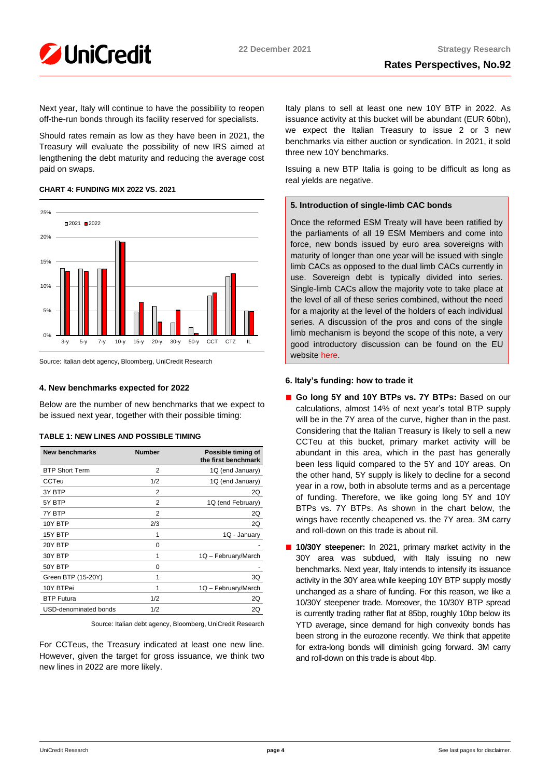

Next year, Italy will continue to have the possibility to reopen off-the-run bonds through its facility reserved for specialists.

Should rates remain as low as they have been in 2021, the Treasury will evaluate the possibility of new IRS aimed at lengthening the debt maturity and reducing the average cost paid on swaps.

# **CHART 4: FUNDING MIX 2022 VS. 2021**





# **4. New benchmarks expected for 2022**

Below are the number of new benchmarks that we expect to be issued next year, together with their possible timing:

| <b>New benchmarks</b> | <b>Number</b>  | Possible timing of<br>the first benchmark |
|-----------------------|----------------|-------------------------------------------|
| <b>BTP Short Term</b> | $\overline{2}$ | 1Q (end January)                          |
| CCTeu                 | 1/2            | 1Q (end January)                          |
| 3Y BTP                | 2              | 2Q                                        |
| 5Y BTP                | 2              | 1Q (end February)                         |
| 7Y BTP                | 2              | 2Q                                        |
| 10Y BTP               | 2/3            | 2Q                                        |
| 15Y BTP               | 1              | 1Q - January                              |
| 20Y BTP               | $\Omega$       |                                           |
| 30Y BTP               | 1              | 1Q - February/March                       |
| 50Y BTP               | $\Omega$       |                                           |
| Green BTP (15-20Y)    | 1              | 3Q                                        |
| 10Y BTPei             | 1              | 1Q - February/March                       |
| <b>BTP Futura</b>     | 1/2            | 2Q                                        |
| USD-denominated bonds | 1/2            | 2Q                                        |

### **TABLE 1: NEW LINES AND POSSIBLE TIMING**

Source: Italian debt agency, Bloomberg, UniCredit Research

For CCTeus, the Treasury indicated at least one new line. However, given the target for gross issuance, we think two new lines in 2022 are more likely.

Italy plans to sell at least one new 10Y BTP in 2022. As issuance activity at this bucket will be abundant (EUR 60bn), we expect the Italian Treasury to issue 2 or 3 new benchmarks via either auction or syndication. In 2021, it sold three new 10Y benchmarks.

Issuing a new BTP Italia is going to be difficult as long as real yields are negative.

# **5. Introduction of single-limb CAC bonds**

Once the reformed ESM Treaty will have been ratified by the parliaments of all 19 ESM Members and come into force, new bonds issued by euro area sovereigns with maturity of longer than one year will be issued with single limb CACs as opposed to the dual limb CACs currently in use. Sovereign debt is typically divided into series. Single-limb CACs allow the majority vote to take place at the level of all of these series combined, without the need for a majority at the level of the holders of each individual series. A discussion of the pros and cons of the single limb mechanism is beyond the scope of this note, a very good introductory discussion can be found on the EU website [here.](https://europa.eu/efc/efc-sub-committee-eu-sovereign-debt-markets/collective-action-clauses-euro-area_en)

# **6. Italy's funding: how to trade it**

- Go long 5Y and 10Y BTPs vs. 7Y BTPs: Based on our calculations, almost 14% of next year's total BTP supply will be in the 7Y area of the curve, higher than in the past. Considering that the Italian Treasury is likely to sell a new CCTeu at this bucket, primary market activity will be abundant in this area, which in the past has generally been less liquid compared to the 5Y and 10Y areas. On the other hand, 5Y supply is likely to decline for a second year in a row, both in absolute terms and as a percentage of funding. Therefore, we like going long 5Y and 10Y BTPs vs. 7Y BTPs. As shown in the chart below, the wings have recently cheapened vs. the 7Y area. 3M carry and roll-down on this trade is about nil.
- **10/30Y steepener:** In 2021, primary market activity in the 30Y area was subdued, with Italy issuing no new benchmarks. Next year, Italy intends to intensify its issuance activity in the 30Y area while keeping 10Y BTP supply mostly unchanged as a share of funding. For this reason, we like a 10/30Y steepener trade. Moreover, the 10/30Y BTP spread is currently trading rather flat at 85bp, roughly 10bp below its YTD average, since demand for high convexity bonds has been strong in the eurozone recently. We think that appetite for extra-long bonds will diminish going forward. 3M carry and roll-down on this trade is about 4bp.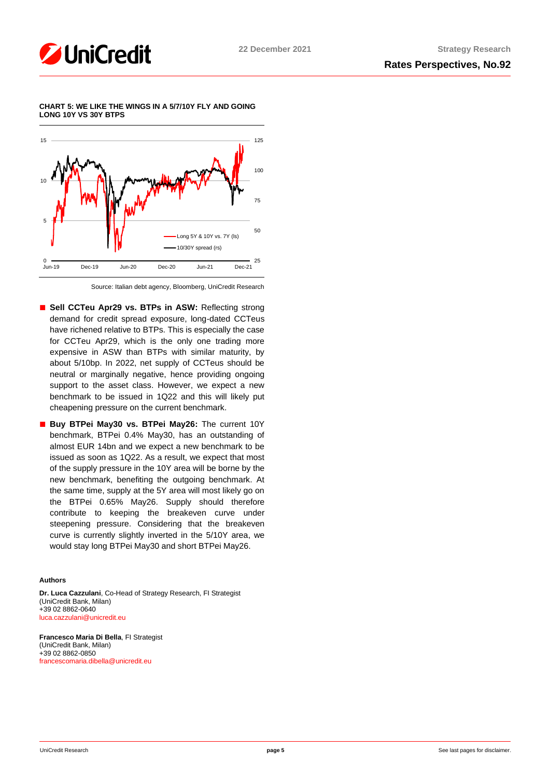





Source: Italian debt agency, Bloomberg, UniCredit Research

- Sell CCTeu Apr29 vs. BTPs in ASW: Reflecting strong demand for credit spread exposure, long-dated CCTeus have richened relative to BTPs. This is especially the case for CCTeu Apr29, which is the only one trading more expensive in ASW than BTPs with similar maturity, by about 5/10bp. In 2022, net supply of CCTeus should be neutral or marginally negative, hence providing ongoing support to the asset class. However, we expect a new benchmark to be issued in 1Q22 and this will likely put cheapening pressure on the current benchmark.
- Buy BTPei May30 vs. BTPei May26: The current 10Y benchmark, BTPei 0.4% May30, has an outstanding of almost EUR 14bn and we expect a new benchmark to be issued as soon as 1Q22. As a result, we expect that most of the supply pressure in the 10Y area will be borne by the new benchmark, benefiting the outgoing benchmark. At the same time, supply at the 5Y area will most likely go on the BTPei 0.65% May26. Supply should therefore contribute to keeping the breakeven curve under steepening pressure. Considering that the breakeven curve is currently slightly inverted in the 5/10Y area, we would stay long BTPei May30 and short BTPei May26.

# **Authors**

**Dr. Luca Cazzulani**, Co-Head of Strategy Research, FI Strategist (UniCredit Bank, Milan) +39 02 8862-0640 [luca.cazzulani@unicredit.eu](mailto:luca.cazzulani@unicredit.eu)

**Francesco Maria Di Bella**, FI Strategist (UniCredit Bank, Milan) +39 02 8862-0850 [francescomaria.dibella@unicredit.eu](mailto:francescomaria.dibella@unicredit.eu)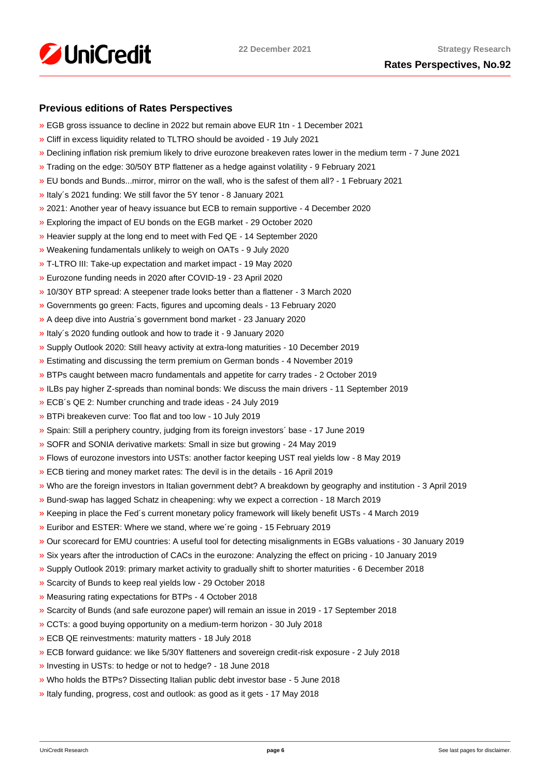

# **Previous editions of Rates Perspectives**

- [»](https://www.research.unicredit.eu/DocsKey/fxfistrategy_docs_2021_181865.ashx?EXT=pdf&KEY=KZGTuQCn4lsvclJnUgseVCsY1pNwWYpS6p9s1QyHBAmt72bVunj69Q==&T=1) EGB gross issuance to decline in 2022 but remain above EUR 1tn 1 December 2021
- [»](https://www.research.unicredit.eu/DocsKey/fxfistrategy_docs_2021_180744.ashx?EXT=pdf&KEY=KZGTuQCn4lsvclJnUgseVCsY1pNwWYpSDrsnC7pek3Qo6o4QdG1UDg==&T=1) Cliff in excess liquidity related to TLTRO should be avoided 19 July 2021
- [»](https://www.research.unicredit.eu/DocsKey/fxfistrategy_docs_2021_180333.ashx?EXT=pdf&KEY=KZGTuQCn4lsvclJnUgseVCsY1pNwWYpSfk0SvE3S76oaIky_YUON5g==&T=1) Declining inflation risk premium likely to drive eurozone breakeven rates lower in the medium term 7 June 2021
- [»](https://www.research.unicredit.eu/DocsKey/fxfistrategy_docs_2021_179186.ashx?EXT=pdf&KEY=KZGTuQCn4lsvclJnUgseVCsY1pNwWYpSJTSghNhr0dG4SAep3M0SAg==&T=1) Trading on the edge: 30/50Y BTP flattener as a hedge against volatility 9 February 2021
- [»](https://www.research.unicredit.eu/DocsKey/fxfistrategy_docs_2021_179093.ashx?EXT=pdf&KEY=KZGTuQCn4lsvclJnUgseVCsY1pNwWYpSseITqiopMUYb21i9hmCfCA==&T=1) EU bonds and Bunds...mirror, mirror on the wall, who is the safest of them all? 1 February 2021
- [»](https://www.research.unicredit.eu/DocsKey/fxfistrategy_docs_2021_178879.ashx?EXT=pdf&KEY=KZGTuQCn4lsvclJnUgseVCsY1pNwWYpSxYneOq3LGyt4eyF56Lnjig==&T=1) Italy´s 2021 funding: We still favor the 5Y tenor 8 January 2021
- [»](https://www.research.unicredit.eu/DocsKey/fxfistrategy_docs_2020_178703.ashx?EXT=pdf&KEY=KZGTuQCn4lsvclJnUgseVFcI2-vTFR2nFvdgpPgOyS7_7gSenXs8vw==&T=1) 2021: Another year of heavy issuance but ECB to remain supportive 4 December 2020
- [»](https://www.research.unicredit.eu/DocsKey/fxfistrategy_docs_2020_178319.ashx?EXT=pdf&KEY=KZGTuQCn4lsvclJnUgseVFcI2-vTFR2nRi29dMwdIovM3G3jxYh8vw==&T=1) Exploring the impact of EU bonds on the EGB market 29 October 2020
- [»](https://www.research.unicredit.eu/DocsKey/fxfistrategy_docs_2020_177861.ashx?EXT=pdf&KEY=KZGTuQCn4lsvclJnUgseVFcI2-vTFR2nyfW5CoPOGyGcSR2zWP6xCA==&T=1) Heavier supply at the long end to meet with Fed QE 14 September 2020
- [»](https://www.research.unicredit.eu/DocsKey/fxfistrategy_docs_2020_177386.ashx?EXT=pdf&KEY=KZGTuQCn4lsvclJnUgseVFcI2-vTFR2nO6XLPK2SkhnVq7fg7fdZMA==&T=1) Weakening fundamentals unlikely to weigh on OATs 9 July 2020
- [»](https://www.research.unicredit.eu/DocsKey/fxfistrategy_docs_2020_176890.ashx?EXT=pdf&KEY=KZGTuQCn4lsvclJnUgseVFcI2-vTFR2nW1DHnTvta0o0CL0_mPxnUg==&T=1) T-LTRO III: Take-up expectation and market impact 19 May 2020
- [»](https://www.research.unicredit.eu/DocsKey/fxfistrategy_docs_2020_176630.ashx?EXT=pdf&KEY=KZGTuQCn4lsvclJnUgseVFcI2-vTFR2nlVdqzbTp94Q4BdEhR8EC5A==&T=1) Eurozone funding needs in 2020 after COVID-19 23 April 2020
- [»](https://www.research.unicredit.eu/DocsKey/fxfistrategy_docs_2020_176143.ashx?EXT=pdf&KEY=KZGTuQCn4lsvclJnUgseVFcI2-vTFR2n46XMXAIB2V6cPOOjdj7_cg==&T=1) 10/30Y BTP spread: A steepener trade looks better than a flattener 3 March 2020
- [»](https://www.research.unicredit.eu/DocsKey/fxfistrategy_docs_2020_175954.ashx?EXT=pdf&KEY=KZGTuQCn4lsvclJnUgseVFcI2-vTFR2nPNmoWwinZoBS4spnPS0v9A==&T=1) Governments go green: Facts, figures and upcoming deals 13 February 2020
- [»](https://www.research.unicredit.eu/DocsKey/fxfistrategy_docs_2020_175729.ashx?EXT=pdf&KEY=KZGTuQCn4lsvclJnUgseVFcI2-vTFR2nD3IxnL2-DMsUkYgH9VwtEQ==&T=1) A deep dive into Austria´s government bond market 23 January 2020
- [»](https://www.research.unicredit.eu/DocsKey/fxfistrategy_docs_2020_175593.ashx?EXT=pdf&KEY=KZGTuQCn4lsvclJnUgseVFcI2-vTFR2nXzQVTsg1IArUTJHz7ClnKQ==&T=1) Italy´s 2020 funding outlook and how to trade it 9 January 2020
- [»](https://www.research.unicredit.eu/DocsKey/fxfistrategy_docs_2019_175462.ashx?EXT=pdf&KEY=KZGTuQCn4lsvclJnUgseVEGHysWJl2Ns9AlMl_yM9fb41Glf-ynILQ==&T=1) Supply Outlook 2020: Still heavy activity at extra-long maturities 10 December 2019
- [»](https://www.research.unicredit.eu/DocsKey/fxfistrategy_docs_2019_175097.ashx?EXT=pdf&KEY=KZGTuQCn4lsvclJnUgseVEGHysWJl2NsalH1w8p3dPurdMMtjayMTw==&T=1) Estimating and discussing the term premium on German bonds 4 November 2019
- [»](https://www.research.unicredit.eu/DocsKey/fxfistrategy_docs_2019_174747.ashx?EXT=pdf&KEY=KZGTuQCn4lsvclJnUgseVEGHysWJl2NshFxQRxeXxVYxi2cgVzAqQQ==&T=1) BTPs caught between macro fundamentals and appetite for carry trades 2 October 2019
- [»](https://www.research.unicredit.eu/DocsKey/fxfistrategy_docs_2019_174503.ashx?EXT=pdf&KEY=KZGTuQCn4lsvclJnUgseVEGHysWJl2NsCFMwr5HzJ17_YmUeW60-Ag==&T=1) ILBs pay higher Z-spreads than nominal bonds: We discuss the main drivers 11 September 2019
- [»](https://www.research.unicredit.eu/DocsKey/fxfistrategy_docs_2019_173046.ashx?EXT=pdf&KEY=KZGTuQCn4lsvclJnUgseVEGHysWJl2NsYmN8grxHaGuMlNiR5FCG-Q==&T=1) ECB´s QE 2: Number crunching and trade ideas 24 July 2019
- [»](https://www.research.unicredit.eu/DocsKey/fxfistrategy_docs_2019_172874.ashx?EXT=pdf&KEY=KZGTuQCn4lsvclJnUgseVEGHysWJl2NsU6w4VN1R8ufrSpaKVsG8hw==&T=1) BTPi breakeven curve: Too flat and too low 10 July 2019
- [»](https://www.research.unicredit.eu/DocsKey/fxfistrategy_docs_2019_172612.ashx?EXT=pdf&KEY=KZGTuQCn4lsvclJnUgseVEGHysWJl2Ns2prJ4cLGo5kZAYkhTSIwiQ==&T=1) Spain: Still a periphery country, judging from its foreign investors´ base 17 June 2019
- [»](https://www.research.unicredit.eu/DocsKey/fxfistrategy_docs_2019_172362.ashx?EXT=pdf&KEY=KZGTuQCn4lsvclJnUgseVEGHysWJl2NsmV7mtWY1YutdeERi5OnkvA==&T=1) SOFR and SONIA derivative markets: Small in size but growing 24 May 2019
- [»](https://www.research.unicredit.eu/DocsKey/fxfistrategy_docs_2019_171193.ashx?EXT=pdf&KEY=KZGTuQCn4lsvclJnUgseVEGHysWJl2NsQ363zHJuO-4ubO81Q09WWw==&T=1) Flows of eurozone investors into USTs: another factor keeping UST real yields low 8 May 2019
- [»](https://www.research.unicredit.eu/DocsKey/fxfistrategy_docs_2019_170974.ashx?EXT=pdf&KEY=KZGTuQCn4lsvclJnUgseVEGHysWJl2NsRTomOaKjVl9lFV8OK8lXLA==&T=1) ECB tiering and money market rates: The devil is in the details 16 April 2019
- [»](https://www.research.unicredit.eu/DocsKey/fxfistrategy_docs_2019_170284.ashx?EXT=pdf&KEY=KZGTuQCn4lsvclJnUgseVEGHysWJl2NsEwG0xblWxFK9BVQAB4eryA==&T=1) Who are the foreign investors in Italian government debt? A breakdown by geography and institution 3 April 2019
- [»](https://www.research.unicredit.eu/DocsKey/fxfistrategy_docs_2019_170066.ashx?EXT=pdf&KEY=KZGTuQCn4lsvclJnUgseVEGHysWJl2NsNOWCS-vPqTdpZhijXIyJ5Q==&T=1) Bund-swap has lagged Schatz in cheapening: why we expect a correction 18 March 2019
- [»](https://www.research.unicredit.eu/DocsKey/fxfistrategy_docs_2019_169883.ashx?EXT=pdf&KEY=KZGTuQCn4lsvclJnUgseVEGHysWJl2Nsz9dXRsXwpAsZUUpCjW9eRw==&T=1) Keeping in place the Fed´s current monetary policy framework will likely benefit USTs 4 March 2019
- [»](https://www.research.unicredit.eu/DocsKey/fxfistrategy_docs_2019_169681.ashx?EXT=pdf&KEY=KZGTuQCn4lsvclJnUgseVEGHysWJl2NsvFsIe2gTc3YHhaYXz8CyMQ==&T=1) Euribor and ESTER: Where we stand, where we´re going 15 February 2019
- [»](https://www.research.unicredit.eu/DocsKey/fxfistrategy_docs_2019_168976.ashx?EXT=pdf&KEY=KZGTuQCn4lsvclJnUgseVEGHysWJl2NsBRIhGRL9OpCAofKNpRdbqw==&T=1) Our scorecard for EMU countries: A useful tool for detecting misalignments in EGBs valuations 30 January 2019
- [»](https://www.research.unicredit.eu/DocsKey/fxfistrategy_docs_2019_168690.ashx?EXT=pdf&KEY=KZGTuQCn4lsvclJnUgseVEGHysWJl2Ns6zwNCeXNSn5_WEAdcnzkSw==&T=1) Six years after the introduction of CACs in the eurozone: Analyzing the effect on pricing 10 January 2019
- [»](https://www.research.unicredit.eu/DocsKey/fxfistrategy_docs_2018_168081.ashx?EXT=pdf&KEY=KZGTuQCn4lsvclJnUgseVGkpNcRXR5-WdODblZpTi0A4RE9IYOSOOA==&T=1) Supply Outlook 2019: primary market activity to gradually shift to shorter maturities 6 December 2018
- [»](https://www.research.unicredit.eu/DocsKey/fxfistrategy_docs_2018_167651.ashx?EXT=pdf&KEY=KZGTuQCn4lsvclJnUgseVGkpNcRXR5-WLbIUypeIHxyD3rdrNgjwjg==&T=1) Scarcity of Bunds to keep real yields low 29 October 2018
- [»](https://www.research.unicredit.eu/DocsKey/fxfistrategy_docs_2018_167362.ashx?EXT=pdf&KEY=KZGTuQCn4lsvclJnUgseVGkpNcRXR5-W7gOokc4_UKGkd-Hy3Wx_vg==&T=1) Measuring rating expectations for BTPs 4 October 2018
- [»](https://www.research.unicredit.eu/DocsKey/fxfistrategy_docs_2018_167162.ashx?EXT=pdf&KEY=KZGTuQCn4lsvclJnUgseVGkpNcRXR5-WLonU6aW-riDJHVt4RBRKJQ==&T=1) Scarcity of Bunds (and safe eurozone paper) will remain an issue in 2019 17 September 2018
- [»](https://www.research.unicredit.eu/DocsKey/fxfistrategy_docs_2018_166735.ashx?EXT=pdf&KEY=KZGTuQCn4lsvclJnUgseVGkpNcRXR5-WJcyLXLDNCHrk_1IGoA85eQ==&T=1) CCTs: a good buying opportunity on a medium-term horizon 30 July 2018
- [»](https://www.research.unicredit.eu/DocsKey/fxfistrategy_docs_2018_165506.ashx?EXT=pdf&KEY=KZGTuQCn4lsvclJnUgseVGkpNcRXR5-WelAdBLCjwv2CsrEf1G_7vA==&T=1) ECB QE reinvestments: maturity matters 18 July 2018
- [»](https://www.research.unicredit.eu/DocsKey/fxfistrategy_docs_2018_165296.ashx?EXT=pdf&KEY=KZGTuQCn4lsvclJnUgseVGkpNcRXR5-Wl83fmK6epfPJRPrdFbpp8A==&T=1) ECB forward guidance: we like 5/30Y flatteners and sovereign credit-risk exposure 2 July 2018
- [»](https://www.research.unicredit.eu/DocsKey/fxfistrategy_docs_2018_165113.ashx?EXT=pdf&KEY=KZGTuQCn4lsvclJnUgseVGkpNcRXR5-WdMw8JSHF2Ih6d0UhMlk5iA==&T=1) Investing in USTs: to hedge or not to hedge? 18 June 2018
- [»](https://www.research.unicredit.eu/DocsKey/fxfistrategy_docs_2018_164967.ashx?EXT=pdf&KEY=KZGTuQCn4lsvclJnUgseVGkpNcRXR5-WLoNFhsvJBXHbE69WfFEurg==&T=1) Who holds the BTPs? Dissecting Italian public debt investor base 5 June 2018
- [»](https://www.research.unicredit.eu/DocsKey/fxfistrategy_docs_2018_164775.ashx?EXT=pdf&KEY=KZGTuQCn4lsvclJnUgseVGkpNcRXR5-WZF21zKfJuZ_5iLWWjJ2GpQ==&T=1) Italy funding, progress, cost and outlook: as good as it gets 17 May 2018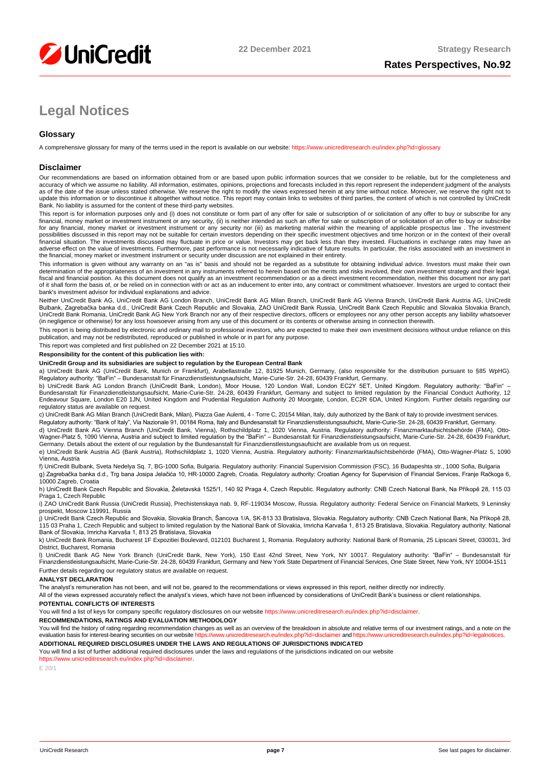

# **Legal Notices**

# **Glossary**

A comprehensive glossary for many of the terms used in the report is available on our website[: https://www.unicreditresearch.eu/index.php?id=glossary](https://www.unicreditresearch.eu/index.php?id=glossary)

### **Disclaimer**

Our recommendations are based on information obtained from or are based upon public information sources that we consider to be reliable, but for the completeness and accuracy of which we assume no liability. All information, estimates, opinions, projections and forecasts included in this report represent the independent judgment of the analysts<br>as of the date of the issue unless stated update this information or to discontinue it altogether without notice. This report may contain links to websites of third parties, the content of which is not controlled by UniCredit Bank. No liability is assumed for the content of these third-party websites.

This report is for information purposes only and (i) does not constitute or form part of any offer for sale or subscription of or solicitation of any offer to buy or subscribe for any<br>financial, money market or investment for any financial, money market or investment instrument or any security nor (iii) as marketing material within the meaning of applicable prospectus law . The investment possibilities discussed in this report may not be suitable for certain investors depending on their specific investment objectives and time horizon or in the context of their overall<br>financial situation. The investments di adverse effect on the value of investments. Furthermore, past performance is not necessarily indicative of future results. In particular, the risks associated with an investment in the financial, money market or investment instrument or security under discussion are not explained in their entirety.

This information is given without any warranty on an "as is" basis and should not be regarded as a substitute for obtaining individual advice. Investors must make their own determination of the appropriateness of an investment in any instruments referred to herein based on the merits and risks involved, their own investment strategy and their legal,<br>fiscal and financial position. As this docu bank's investment advisor for individual explanations and advice.

Neither UniCredit Bank AG, UniCredit Bank AG London Branch, UniCredit Bank AG Milan Branch, UniCredit Bank AG Vienna Branch, UniCredit Bank Austria AG, UniCredit Bulbank, Zagrebačka banka d.d., UniCredit Bank Czech Republic and Slovakia, ZAO UniCredit Bank Russia, UniCredit Bank Czech Republic and Slovakia Slovakia Branch,<br>UniCredit Bank Romania, UniCredit Bank AG New York Branch n (in negligence or otherwise) for any loss howsoever arising from any use of this document or its contents or otherwise arising in connection therewith.

This report is being distributed by electronic and ordinary mail to professional investors, who are expected to make their own investment decisions without undue reliance on this publication, and may not be redistributed, reproduced or published in whole or in part for any purpose.

This report was completed and first published on 22 December 2021 at 15:10.

### **Responsibility for the content of this publication lies with:**

### **UniCredit Group and its subsidiaries are subject to regulation by the European Central Bank**

a) UniCredit Bank AG (UniCredit Bank, Munich or Frankfurt), Arabellastraße 12, 81925 Munich, Germany, (also responsible for the distribution pursuant to §85 WpHG). Regulatory authority: "BaFin" – Bundesanstalt für Finanzdienstleistungsaufsicht, Marie-Curie-Str. 24-28, 60439 Frankfurt, Germany.

b) UniCredit Bank AG London Branch (UniCredit Bank, London), Moor House, 120 London Wall, London EC2Y 5ET, United Kingdom. Regulatory authority: "BaFin" –<br>Bundesanstalt für Finanzdienstleistungsaufsicht, Marie-Curie-Str. 2 regulatory status are available on request.

c) UniCredit Bank AG Milan Branch (UniCredit Bank, Milan), Piazza Gae Aulenti, 4 - Torre C, 20154 Milan, Italy, duly authorized by the Bank of Italy to provide investment services.

Regulatory authority: "Bank of Italy", Via Nazionale 91, 00184 Roma, Italy and Bundesanstalt für Finanzdienstleistungsaufsicht, Marie-Curie-Str. 24-28, 60439 Frankfurt, Germany.

d) UniCredit Bank AG Vienna Branch (UniCredit Bank, Vienna), Rothschildplatz 1, 1020 Vienna, Austria. Regulatory authority: Finanzmarktaufsichtsbehörde (FMA), Otto-Wagner-Platz 5, 1090 Vienna, Austria and subject to limited regulation by the "BaFin" – Bundesanstalt für Finanzdienstleistungsaufsicht, Marie-Curie-Str. 24-28, 60439 Frankfurt,<br>Germany. Details about the extent of our reg

e) UniCredit Bank Austria AG (Bank Austria), Rothschildplatz 1, 1020 Vienna, Austria. Regulatory authority: Finanzmarktaufsichtsbehörde (FMA), Otto-Wagner-Platz 5, 1090 Vienna, Austria

f) UniCredit Bulbank, Sveta Nedelya Sq. 7, BG-1000 Sofia, Bulgaria. Regulatory authority: Financial Supervision Commission (FSC), 16 Budapeshta str., 1000 Sofia, Bulgaria g) Zagrebačka banka d.d., Trg bana Josipa Jelačića 10, HR-10000 Zagreb, Croatia. Regulatory authority: Croatian Agency for Supervision of Financial Services, Franje Račkoga 6, 10000 Zagreb, Croatia

h) UniCredit Bank Czech Republic and Slovakia, Želetavská 1525/1, 140 92 Praga 4, Czech Republic. Regulatory authority: CNB Czech National Bank, Na Příkopě 28, 115 03 Praga 1, Czech Republic

i) ZAO UniCredit Bank Russia (UniCredit Russia), Prechistenskaya nab. 9, RF-119034 Moscow, Russia. Regulatory authority: Federal Service on Financial Markets, 9 Leninsky prospekt, Moscow 119991, Russia

j) UniCredit Bank Czech Republic and Slovakia, Slovakia Branch, Šancova 1/A, SK-813 33 Bratislava, Slovakia. Regulatory authority: CNB Czech National Bank, Na Příkopě 28, 115 03 Praha 1, Czech Republic and subject to limited regulation by the National Bank of Slovakia, Imricha Karvaša 1, 813 25 Bratislava, Slovakia. Regulatory authority: National<br>Bank of Slovakia, Imricha Karvaša 1, 813 25

k) UniCredit Bank Romania, Bucharest 1F Expozitiei Boulevard, 012101 Bucharest 1, Romania. Regulatory authority: National Bank of Romania, 25 Lipscani Street, 030031, 3rd District, Bucharest, Romania

l) UniCredit Bank AG New York Branch (UniCredit Bank, New York), 150 East 42nd Street, New York, NY 10017. Regulatory authority: "BaFin" – Bundesanstalt für Finanzdienstleistungsaufsicht, Marie-Curie-Str. 24-28, 60439 Frankfurt, Germany and New York State Department of Financial Services, One State Street, New York, NY 10004-1511 Further details regarding our regulatory status are available on request.

#### **ANALYST DECLARATION**

The analyst's remuneration has not been, and will not be, geared to the recommendations or views expressed in this report, neither directly nor indirectly.

All of the views expressed accurately reflect the analyst's views, which have not been influenced by considerations of UniCredit Bank's business or client relationships.

### **POTENTIAL CONFLICTS OF INTERESTS**

You will find a list of keys for company specific regulatory disclosures on our websit[e https://www.unicreditresearch.eu/index.php?id=disclaimer.](https://www.unicreditresearch.eu/index.php?id=disclaimer)

**RECOMMENDATIONS, RATINGS AND EVALUATION METHODOLOGY** 

You will find the history of rating regarding recommendation changes as well as an overview of the breakdown in absolute and relative terms of our investment ratings, and a note on the evaluation basis for interest-bearing evaluation basis for interest-bearing securities on our website https://www.unicreditre

**ADDITIONAL REQUIRED DISCLOSURES UNDER THE LAWS AND REGULATIONS OF JURISDICTIONS INDICATED**

You will find a list of further additional required disclosures under the laws and regulations of the jurisdictions indicated on our website [https://www.unicreditresearch.eu/index.php?id=disclaimer.](https://www.unicreditresearch.eu/index.php?id=disclaimer) 

E 20/1